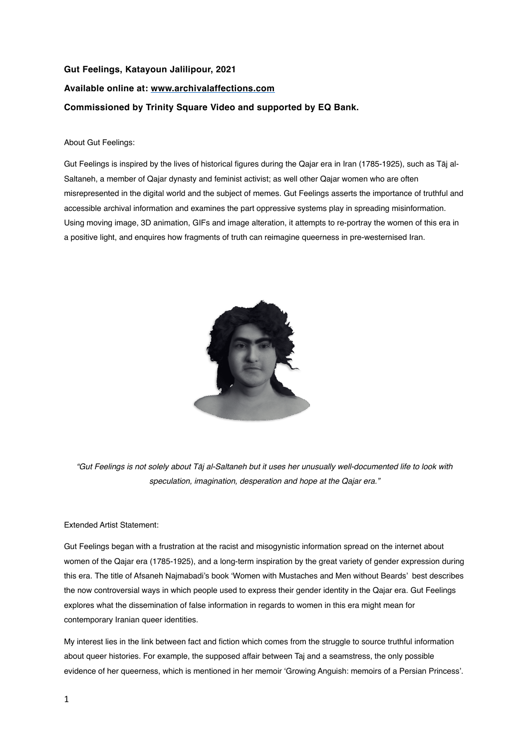## **Gut Feelings, Katayoun Jalilipour, 2021 Available online at: [www.archivalaffections.com](http://www.archivalaffections.com) Commissioned by Trinity Square Video and supported by EQ Bank.**

## About Gut Feelings:

Gut Feelings is inspired by the lives of historical figures during the Qajar era in Iran (1785-1925), such as Tāj al-Saltaneh, a member of Qajar dynasty and feminist activist; as well other Qajar women who are often misrepresented in the digital world and the subject of memes. Gut Feelings asserts the importance of truthful and accessible archival information and examines the part oppressive systems play in spreading misinformation. Using moving image, 3D animation, GIFs and image alteration, it attempts to re-portray the women of this era in a positive light, and enquires how fragments of truth can reimagine queerness in pre-westernised Iran.



*"Gut Feelings is not solely about T*ā*j al-Saltaneh but it uses her unusually well-documented life to look with speculation, imagination, desperation and hope at the Qajar era."*

## Extended Artist Statement:

Gut Feelings began with a frustration at the racist and misogynistic information spread on the internet about women of the Qajar era (1785-1925), and a long-term inspiration by the great variety of gender expression during this era. The title of Afsaneh Najmabadi's book 'Women with Mustaches and Men without Beards' best describes the now controversial ways in which people used to express their gender identity in the Qajar era. Gut Feelings explores what the dissemination of false information in regards to women in this era might mean for contemporary Iranian queer identities.

My interest lies in the link between fact and fiction which comes from the struggle to source truthful information about queer histories. For example, the supposed affair between Taj and a seamstress, the only possible evidence of her queerness, which is mentioned in her memoir 'Growing Anguish: memoirs of a Persian Princess'.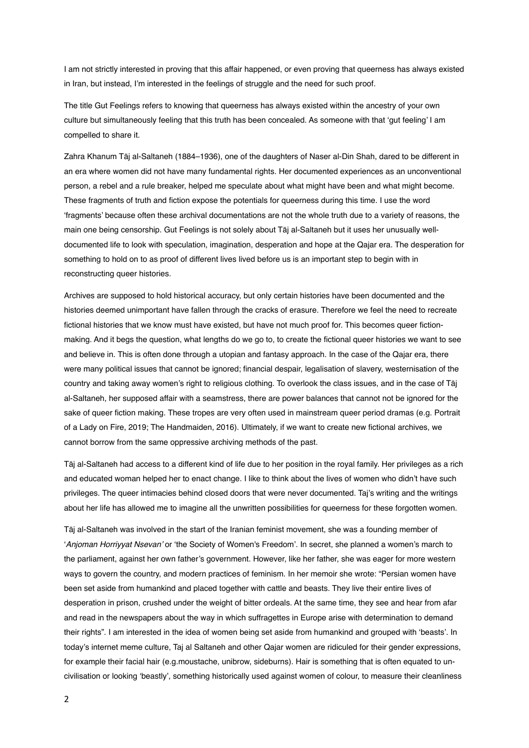I am not strictly interested in proving that this affair happened, or even proving that queerness has always existed in Iran, but instead, I'm interested in the feelings of struggle and the need for such proof.

The title Gut Feelings refers to knowing that queerness has always existed within the ancestry of your own culture but simultaneously feeling that this truth has been concealed. As someone with that 'gut feeling' I am compelled to share it.

Zahra Khanum Tāj al-Saltaneh (1884–1936), one of the daughters of Naser al-Din Shah, dared to be different in an era where women did not have many fundamental rights. Her documented experiences as an unconventional person, a rebel and a rule breaker, helped me speculate about what might have been and what might become. These fragments of truth and fiction expose the potentials for queerness during this time. I use the word 'fragments' because often these archival documentations are not the whole truth due to a variety of reasons, the main one being censorship. Gut Feelings is not solely about Tāj al-Saltaneh but it uses her unusually welldocumented life to look with speculation, imagination, desperation and hope at the Qajar era. The desperation for something to hold on to as proof of different lives lived before us is an important step to begin with in reconstructing queer histories.

Archives are supposed to hold historical accuracy, but only certain histories have been documented and the histories deemed unimportant have fallen through the cracks of erasure. Therefore we feel the need to recreate fictional histories that we know must have existed, but have not much proof for. This becomes queer fictionmaking. And it begs the question, what lengths do we go to, to create the fictional queer histories we want to see and believe in. This is often done through a utopian and fantasy approach. In the case of the Qajar era, there were many political issues that cannot be ignored; financial despair, legalisation of slavery, westernisation of the country and taking away women's right to religious clothing. To overlook the class issues, and in the case of Tāj al-Saltaneh, her supposed affair with a seamstress, there are power balances that cannot not be ignored for the sake of queer fiction making. These tropes are very often used in mainstream queer period dramas (e.g. Portrait of a Lady on Fire, 2019; The Handmaiden, 2016). Ultimately, if we want to create new fictional archives, we cannot borrow from the same oppressive archiving methods of the past.

Tāj al-Saltaneh had access to a different kind of life due to her position in the royal family. Her privileges as a rich and educated woman helped her to enact change. I like to think about the lives of women who didn't have such privileges. The queer intimacies behind closed doors that were never documented. Taj's writing and the writings about her life has allowed me to imagine all the unwritten possibilities for queerness for these forgotten women.

Tāj al-Saltaneh was involved in the start of the Iranian feminist movement, she was a founding member of '*Anjoman Horriyyat Nsevan'* or 'the Society of Women's Freedom'. In secret, she planned a women's march to the parliament, against her own father's government. However, like her father, she was eager for more western ways to govern the country, and modern practices of feminism. In her memoir she wrote: "Persian women have been set aside from humankind and placed together with cattle and beasts. They live their entire lives of desperation in prison, crushed under the weight of bitter ordeals. At the same time, they see and hear from afar and read in the newspapers about the way in which suffragettes in Europe arise with determination to demand their rights". I am interested in the idea of women being set aside from humankind and grouped with 'beasts'. In today's internet meme culture, Taj al Saltaneh and other Qajar women are ridiculed for their gender expressions, for example their facial hair (e.g.moustache, unibrow, sideburns). Hair is something that is often equated to uncivilisation or looking 'beastly', something historically used against women of colour, to measure their cleanliness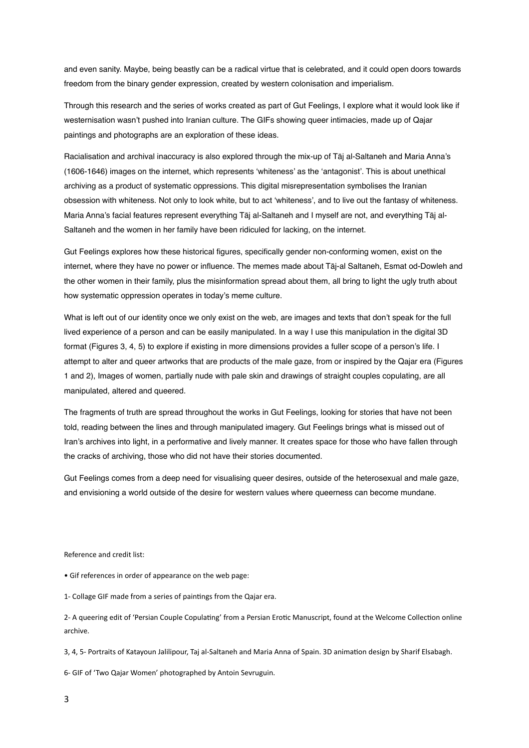and even sanity. Maybe, being beastly can be a radical virtue that is celebrated, and it could open doors towards freedom from the binary gender expression, created by western colonisation and imperialism.

Through this research and the series of works created as part of Gut Feelings, I explore what it would look like if westernisation wasn't pushed into Iranian culture. The GIFs showing queer intimacies, made up of Qajar paintings and photographs are an exploration of these ideas.

Racialisation and archival inaccuracy is also explored through the mix-up of Tāj al-Saltaneh and Maria Anna's (1606-1646) images on the internet, which represents 'whiteness' as the 'antagonist'. This is about unethical archiving as a product of systematic oppressions. This digital misrepresentation symbolises the Iranian obsession with whiteness. Not only to look white, but to act 'whiteness', and to live out the fantasy of whiteness. Maria Anna's facial features represent everything Tāj al-Saltaneh and I myself are not, and everything Tāj al-Saltaneh and the women in her family have been ridiculed for lacking, on the internet.

Gut Feelings explores how these historical figures, specifically gender non-conforming women, exist on the internet, where they have no power or influence. The memes made about Tāj-al Saltaneh, Esmat od-Dowleh and the other women in their family, plus the misinformation spread about them, all bring to light the ugly truth about how systematic oppression operates in today's meme culture.

What is left out of our identity once we only exist on the web, are images and texts that don't speak for the full lived experience of a person and can be easily manipulated. In a way I use this manipulation in the digital 3D format (Figures 3, 4, 5) to explore if existing in more dimensions provides a fuller scope of a person's life. I attempt to alter and queer artworks that are products of the male gaze, from or inspired by the Qajar era (Figures 1 and 2), Images of women, partially nude with pale skin and drawings of straight couples copulating, are all manipulated, altered and queered.

The fragments of truth are spread throughout the works in Gut Feelings, looking for stories that have not been told, reading between the lines and through manipulated imagery. Gut Feelings brings what is missed out of Iran's archives into light, in a performative and lively manner. It creates space for those who have fallen through the cracks of archiving, those who did not have their stories documented.

Gut Feelings comes from a deep need for visualising queer desires, outside of the heterosexual and male gaze, and envisioning a world outside of the desire for western values where queerness can become mundane.

Reference and credit list:

• Gif references in order of appearance on the web page:

1- Collage GIF made from a series of paintings from the Qajar era.

2- A queering edit of 'Persian Couple Copulating' from a Persian Erotic Manuscript, found at the Welcome Collection online archive.

3, 4, 5- Portraits of Katayoun Jalilipour, Taj al-Saltaneh and Maria Anna of Spain. 3D animation design by Sharif Elsabagh.

6- GIF of 'Two Qajar Women' photographed by Antoin Sevruguin.